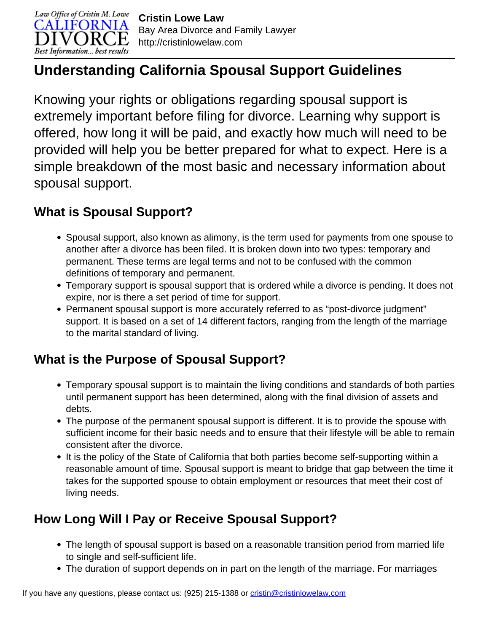

# **Understanding California Spousal Support Guidelines**

Knowing your rights or obligations regarding spousal support is extremely important before filing for divorce. Learning why support is offered, how long it will be paid, and exactly how much will need to be provided will help you be better prepared for what to expect. Here is a simple breakdown of the most basic and necessary information about spousal support.

#### **What is Spousal Support?**

- Spousal support, also known as alimony, is the term used for payments from one spouse to another after a divorce has been filed. It is broken down into two types: temporary and permanent. These terms are legal terms and not to be confused with the common definitions of temporary and permanent.
- Temporary support is spousal support that is ordered while a divorce is pending. It does not expire, nor is there a set period of time for support.
- Permanent spousal support is more accurately referred to as "post-divorce judgment" support. It is based on a set of 14 different factors, ranging from the length of the marriage to the marital standard of living.

## **What is the Purpose of Spousal Support?**

- Temporary spousal support is to maintain the living conditions and standards of both parties until permanent support has been determined, along with the final division of assets and debts.
- The purpose of the permanent spousal support is different. It is to provide the spouse with sufficient income for their basic needs and to ensure that their lifestyle will be able to remain consistent after the divorce.
- It is the policy of the State of California that both parties become self-supporting within a reasonable amount of time. Spousal support is meant to bridge that gap between the time it takes for the supported spouse to obtain employment or resources that meet their cost of living needs.

## **How Long Will I Pay or Receive Spousal Support?**

- The length of spousal support is based on a reasonable transition period from married life to single and self-sufficient life.
- The duration of support depends on in part on the length of the marriage. For marriages